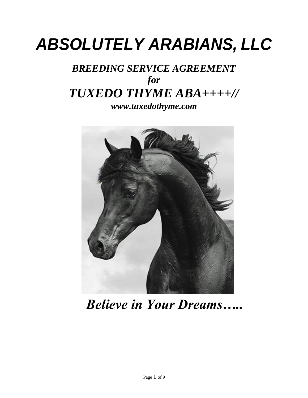# *ABSOLUTELY ARABIANS, LLC*

# *BREEDING SERVICE AGREEMENT for TUXEDO THYME ABA++++// [www.tuxedothyme.com](http://www.tuxedothyme.com/)*



*Believe in Your Dreams…..*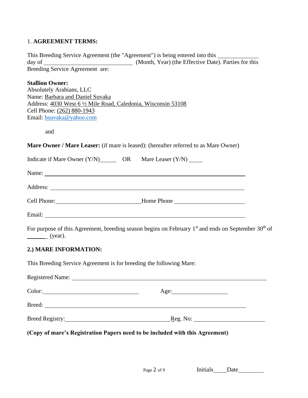# 1. **AGREEMENT TERMS:**

|                                                                                                                                                                                                                                 | This Breeding Service Agreement (the "Agreement") is being entered into this _________                          |  |
|---------------------------------------------------------------------------------------------------------------------------------------------------------------------------------------------------------------------------------|-----------------------------------------------------------------------------------------------------------------|--|
| Breeding Service Agreement are:                                                                                                                                                                                                 |                                                                                                                 |  |
| <b>Stallion Owner:</b><br><b>Absolutely Arabians, LLC</b><br>Name: Barbara and Daniel Suvaka<br>Address: 4030 West 6 1/2 Mile Road, Caledonia, Wisconsin 53108<br>Cell Phone: (262) 880-1943<br>Email: bsuvaka@yahoo.com<br>and |                                                                                                                 |  |
|                                                                                                                                                                                                                                 | Mare Owner / Mare Leaser: (if mare is leased): (hereafter referred to as Mare Owner)                            |  |
| Indicate if Mare Owner (Y/N) OR Mare Leaser (Y/N) _____                                                                                                                                                                         |                                                                                                                 |  |
|                                                                                                                                                                                                                                 |                                                                                                                 |  |
|                                                                                                                                                                                                                                 |                                                                                                                 |  |
|                                                                                                                                                                                                                                 |                                                                                                                 |  |
|                                                                                                                                                                                                                                 |                                                                                                                 |  |
| $\frac{\ }{}$ (year).                                                                                                                                                                                                           | For purpose of this Agreement, breeding season begins on February 1st and ends on September 30 <sup>th</sup> of |  |
| 2.) MARE INFORMATION:                                                                                                                                                                                                           |                                                                                                                 |  |
| This Breeding Service Agreement is for breeding the following Mare:                                                                                                                                                             |                                                                                                                 |  |
|                                                                                                                                                                                                                                 |                                                                                                                 |  |
|                                                                                                                                                                                                                                 |                                                                                                                 |  |
|                                                                                                                                                                                                                                 |                                                                                                                 |  |
|                                                                                                                                                                                                                                 |                                                                                                                 |  |
| (Copy of mare's Registration Papers need to be included with this Agreement)                                                                                                                                                    |                                                                                                                 |  |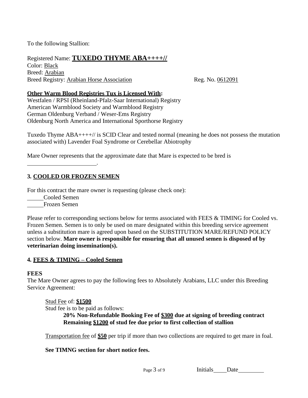To the following Stallion:

Registered Name: **TUXEDO THYME ABA++++//** Color: Black Breed: Arabian Breed Registry: Arabian Horse Association Reg. No. 0612091

#### **Other Warm Blood Registries Tux is Licensed With:**

Westfalen / RPSI (Rheinland-Pfalz-Saar International) Registry American Warmblood Society and Warmblood Registry German Oldenburg Verband / Weser-Ems Registry Oldenburg North America and International Sporthorse Registry

Tuxedo Thyme ABA++++// is SCID Clear and tested normal (meaning he does not possess the mutation associated with) Lavender Foal Syndrome or Cerebellar Abiotrophy

Mare Owner represents that the approximate date that Mare is expected to be bred is

#### **3. COOLED OR FROZEN SEMEN**

For this contract the mare owner is requesting (please check one):

.

Cooled Semen

Frozen Semen

Please refer to corresponding sections below for terms associated with FEES & TIMING for Cooled vs. Frozen Semen. Semen is to only be used on mare designated within this breeding service agreement unless a substitution mare is agreed upon based on the SUBSTITUTION MARE/REFUND POLICY section below. **Mare owner is responsible for ensuring that all unused semen is disposed of by veterinarian doing insemination(s).**

#### **4. FEES & TIMING – Cooled Semen**

#### **FEES**

The Mare Owner agrees to pay the following fees to Absolutely Arabians, LLC under this Breeding Service Agreement:

Stud Fee of: **\$1500**

Stud fee is to be paid as follows:

**20% Non-Refundable Booking Fee of \$300 due at signing of breeding contract Remaining \$1200 of stud fee due prior to first collection of stallion**

Transportation fee of **\$50** per trip if more than two collections are required to get mare in foal.

#### **See TIMNG section for short notice fees.**

Page 3 of 9 Initials Date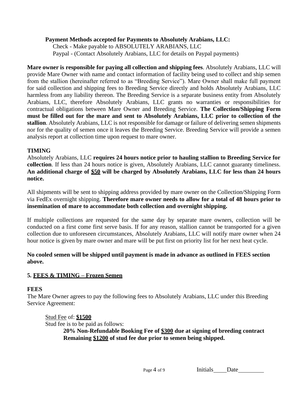#### **Payment Methods accepted for Payments to Absolutely Arabians, LLC:**

Check - Make payable to ABSOLUTELY ARABIANS, LLC Paypal - (Contact Absolutely Arabians, LLC for details on Paypal payments)

**Mare owner is responsible for paying all collection and shipping fees**. Absolutely Arabians, LLC will provide Mare Owner with name and contact information of facility being used to collect and ship semen from the stallion (hereinafter referred to as "Breeding Service"). Mare Owner shall make full payment for said collection and shipping fees to Breeding Service directly and holds Absolutely Arabians, LLC harmless from any liability thereon. The Breeding Service is a separate business entity from Absolutely Arabians, LLC, therefore Absolutely Arabians, LLC grants no warranties or responsibilities for contractual obligations between Mare Owner and Breeding Service. **The Collection/Shipping Form must be filled out for the mare and sent to Absolutely Arabians, LLC prior to collection of the stallion**. Absolutely Arabians, LLC is not responsible for damage or failure of delivering semen shipments nor for the quality of semen once it leaves the Breeding Service. Breeding Service will provide a semen analysis report at collection time upon request to mare owner.

# **TIMING**

Absolutely Arabians, LLC **requires 24 hours notice prior to hauling stallion to Breeding Service for collection**. If less than 24 hours notice is given, Absolutely Arabians, LLC cannot guaranty timeliness. **An additional charge of \$50 will be charged by Absolutely Arabians, LLC for less than 24 hours notice.**

All shipments will be sent to shipping address provided by mare owner on the Collection/Shipping Form via FedEx overnight shipping. **Therefore mare owner needs to allow for a total of 48 hours prior to insemination of mare to accommodate both collection and overnight shipping.**

If multiple collections are requested for the same day by separate mare owners, collection will be conducted on a first come first serve basis. If for any reason, stallion cannot be transported for a given collection due to unforeseen circumstances, Absolutely Arabians, LLC will notify mare owner when 24 hour notice is given by mare owner and mare will be put first on priority list for her next heat cycle.

#### **No cooled semen will be shipped until payment is made in advance as outlined in FEES section above.**

# **5. FEES & TIMING – Frozen Semen**

#### **FEES**

The Mare Owner agrees to pay the following fees to Absolutely Arabians, LLC under this Breeding Service Agreement:

Stud Fee of: **\$1500** Stud fee is to be paid as follows: **20% Non-Refundable Booking Fee of \$300 due at signing of breeding contract Remaining \$1200 of stud fee due prior to semen being shipped.**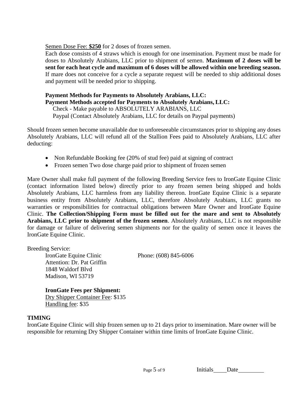Semen Dose Fee: **\$250** for 2 doses of frozen semen.

Each dose consists of 4 straws which is enough for one insemination. Payment must be made for doses to Absolutely Arabians, LLC prior to shipment of semen. **Maximum of 2 doses will be sent for each heat cycle and maximum of 6 doses will be allowed within one breeding season.**  If mare does not conceive for a cycle a separate request will be needed to ship additional doses and payment will be needed prior to shipping.

# **Payment Methods for Payments to Absolutely Arabians, LLC: Payment Methods accepted for Payments to Absolutely Arabians, LLC:**

Check - Make payable to ABSOLUTELY ARABIANS, LLC Paypal (Contact Absolutely Arabians, LLC for details on Paypal payments)

Should frozen semen become unavailable due to unforeseeable circumstances prior to shipping any doses Absolutely Arabians, LLC will refund all of the Stallion Fees paid to Absolutely Arabians, LLC after deducting:

- Non Refundable Booking fee (20% of stud fee) paid at signing of contract
- Frozen semen Two dose charge paid prior to shipment of frozen semen

Mare Owner shall make full payment of the following Breeding Service fees to IronGate Equine Clinic (contact information listed below) directly prior to any frozen semen being shipped and holds Absolutely Arabians, LLC harmless from any liability thereon. IronGate Equine Clinic is a separate business entity from Absolutely Arabians, LLC, therefore Absolutely Arabians, LLC grants no warranties or responsibilities for contractual obligations between Mare Owner and IronGate Equine Clinic. **The Collection/Shipping Form must be filled out for the mare and sent to Absolutely Arabians, LLC prior to shipment of the frozen semen**. Absolutely Arabians, LLC is not responsible for damage or failure of delivering semen shipments nor for the quality of semen once it leaves the IronGate Equine Clinic.

Breeding Service:

IronGate Equine Clinic Phone: (608) 845-6006 Attention: Dr. Pat Griffin 1848 Waldorf Blvd Madison, WI 53719

#### **IronGate Fees per Shipment:**

Dry Shipper Container Fee: \$135 Handling fee: \$35

#### **TIMING**

IronGate Equine Clinic will ship frozen semen up to 21 days prior to insemination. Mare owner will be responsible for returning Dry Shipper Container within time limits of IronGate Equine Clinic.

Page 5 of 9 Initials Date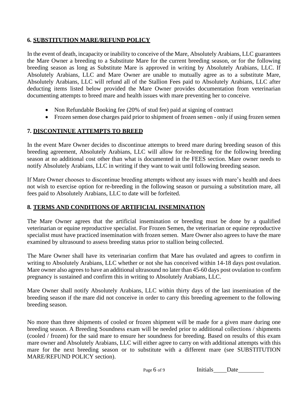## **6. SUBSTITUTION MARE/REFUND POLICY**

In the event of death, incapacity or inability to conceive of the Mare, Absolutely Arabians, LLC guarantees the Mare Owner a breeding to a Substitute Mare for the current breeding season, or for the following breeding season as long as Substitute Mare is approved in writing by Absolutely Arabians, LLC. If Absolutely Arabians, LLC and Mare Owner are unable to mutually agree as to a substitute Mare, Absolutely Arabians, LLC will refund all of the Stallion Fees paid to Absolutely Arabians, LLC after deducting items listed below provided the Mare Owner provides documentation from veterinarian documenting attempts to breed mare and health issues with mare preventing her to conceive.

- Non Refundable Booking fee (20% of stud fee) paid at signing of contract
- Frozen semen dose charges paid prior to shipment of frozen semen only if using frozen semen

# **7. DISCONTINUE ATTEMPTS TO BREED**

In the event Mare Owner decides to discontinue attempts to breed mare during breeding season of this breeding agreement, Absolutely Arabians, LLC will allow for re-breeding for the following breeding season at no additional cost other than what is documented in the FEES section. Mare owner needs to notify Absolutely Arabians, LLC in writing if they want to wait until following breeding season.

If Mare Owner chooses to discontinue breeding attempts without any issues with mare's health and does not wish to exercise option for re-breeding in the following season or pursuing a substitution mare, all fees paid to Absolutely Arabians, LLC to date will be forfeited.

#### **8. TERMS AND CONDITIONS OF ARTIFICIAL INSEMINATION**

The Mare Owner agrees that the artificial insemination or breeding must be done by a qualified veterinarian or equine reproductive specialist. For Frozen Semen, the veterinarian or equine reproductive specialist must have practiced insemination with frozen semen. Mare Owner also agrees to have the mare examined by ultrasound to assess breeding status prior to stallion being collected.

The Mare Owner shall have its veterinarian confirm that Mare has ovulated and agrees to confirm in writing to Absolutely Arabians, LLC whether or not she has conceived within 14-18 days post ovulation. Mare owner also agrees to have an additional ultrasound no later than 45-60 days post ovulation to confirm pregnancy is sustained and confirm this in writing to Absolutely Arabians, LLC.

Mare Owner shall notify Absolutely Arabians, LLC within thirty days of the last insemination of the breeding season if the mare did not conceive in order to carry this breeding agreement to the following breeding season.

No more than three shipments of cooled or frozen shipment will be made for a given mare during one breeding season. A Breeding Soundness exam will be needed prior to additional collections / shipments (cooled / frozen) for the said mare to ensure her soundness for breeding. Based on results of this exam mare owner and Absolutely Arabians, LLC will either agree to carry on with additional attempts with this mare for the next breeding season or to substitute with a different mare (see SUBSTITUTION MARE/REFUND POLICY section).

| Initials<br>Date |
|------------------|
|------------------|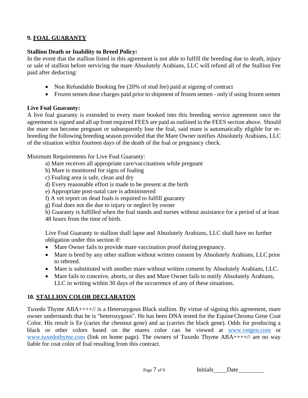# **9. FOAL GUARANTY**

#### **Stallion Death or Inability to Breed Policy:**

In the event that the stallion listed in this agreement is not able to fulfill the breeding due to death, injury or sale of stallion before servicing the mare Absolutely Arabians, LLC will refund all of the Stallion Fee paid after deducting:

- Non Refundable Booking fee (20% of stud fee) paid at signing of contract
- Frozen semen dose charges paid prior to shipment of frozen semen only if using frozen semen

#### **Live Foal Guaranty:**

A live foal guaranty is extended to every mare booked into this breeding service agreement once the agreement is signed and all up front required FEES are paid as outlined in the FEES section above. Should the mare not become pregnant or subsequently lose the foal, said mare is automatically eligible for rebreeding the following breeding season provided that the Mare Owner notifies Absolutely Arabians, LLC of the situation within fourteen days of the death of the foal or pregnancy check.

Minimum Requirements for Live Foal Guaranty:

- a) Mare receives all appropriate care/vaccinations while pregnant
- b) Mare is monitored for signs of foaling
- c) Foaling area is safe, clean and dry
- d) Every reasonable effort is made to be present at the birth
- e) Appropriate post-natal care is administered
- f) A vet report on dead foals is required to fulfill guaranty
- g) Foal does not die due to injury or neglect by owner
- h) Guaranty is fulfilled when the foal stands and nurses without assistance for a period of at least 48 hours from the time of birth.

Live Foal Guaranty to stallion shall lapse and Absolutely Arabians, LLC shall have no further obligation under this section if:

- Mare Owner fails to provide mare vaccination proof during pregnancy.
- Mare is bred by any other stallion without written consent by Absolutely Arabians, LLC prior to rebreed.
- Mare is substituted with another mare without written consent by Absolutely Arabians, LLC.
- Mare fails to conceive, aborts, or dies and Mare Owner fails to notify Absolutely Arabians, LLC in writing within 30 days of the occurrence of any of these situations.

#### **10. STALLION COLOR DECLARATON**

Tuxedo Thyme ABA++++// is a Heterozygous Black stallion. By virtue of signing this agreement, mare owner understands that he is "heterozygous". He has been DNA tested for the EquineChroma Gene Coat Color. His result is Ee (caries the chestnut gene) and aa (carries the black gene). Odds for producing a black or other colors based on the mares color can be viewed at [www.vetgen.com](http://www.vetgen.com/) or [www.tuxedothyme.com](http://www.tuxedothyme.com/) (link on home page). The owners of Tuxedo Thyme ABA++++// are no way liable for coat color of foal resulting from this contract.

| Page 7 of 9 | Initials | Date |  |
|-------------|----------|------|--|
|             |          |      |  |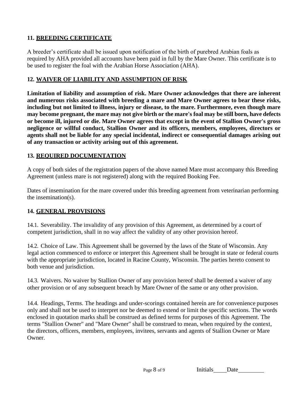# **11. BREEDING CERTIFICATE**

A breeder's certificate shall be issued upon notification of the birth of purebred Arabian foals as required by AHA provided all accounts have been paid in full by the Mare Owner. This certificate is to be used to register the foal with the Arabian Horse Association (AHA).

#### **12. WAIVER OF LIABILITY AND ASSUMPTION OF RISK**

**Limitation of liability and assumption of risk. Mare Owner acknowledges that there are inherent and numerous risks associated with breeding a mare and Mare Owner agrees to bear these risks, including but not limited to illness, injury or disease, to the mare. Furthermore, even though mare**  may become pregnant, the mare may not give birth or the mare's foal may be still born, have defects **or become ill, injured or die. Mare Owner agrees that except in the event of Stallion Owner's gross negligence or willful conduct, Stallion Owner and its officers, members, employees, directors or agents shall not be liable for any special incidental, indirect or consequential damages arising out of any transaction or activity arising out of this agreement.**

## **13. REQUIRED DOCUMENTATION**

A copy of both sides of the registration papers of the above named Mare must accompany this Breeding Agreement (unless mare is not registered) along with the required Booking Fee.

Dates of insemination for the mare covered under this breeding agreement from veterinarian performing the insemination(s).

# **14. GENERAL PROVISIONS**

14.1. Severability. The invalidity of any provision of this Agreement, as determined by a court of competent jurisdiction, shall in no way affect the validity of any other provision hereof.

14.2. Choice of Law. This Agreement shall be governed by the laws of the State of Wisconsin. Any legal action commenced to enforce or interpret this Agreement shall be brought in state or federal courts with the appropriate jurisdiction, located in Racine County, Wisconsin. The parties hereto consent to both venue and jurisdiction.

14.3. Waivers. No waiver by Stallion Owner of any provision hereof shall be deemed a waiver of any other provision or of any subsequent breach by Mare Owner of the same or any other provision.

14.4. Headings, Terms. The headings and under-scorings contained herein are for convenience purposes only and shall not be used to interpret nor be deemed to extend or limit the specific sections. The words enclosed in quotation marks shall be construed as defined terms for purposes of this Agreement. The terms "Stallion Owner" and "Mare Owner" shall be construed to mean, when required by the context, the directors, officers, members, employees, invitees, servants and agents of Stallion Owner or Mare Owner.